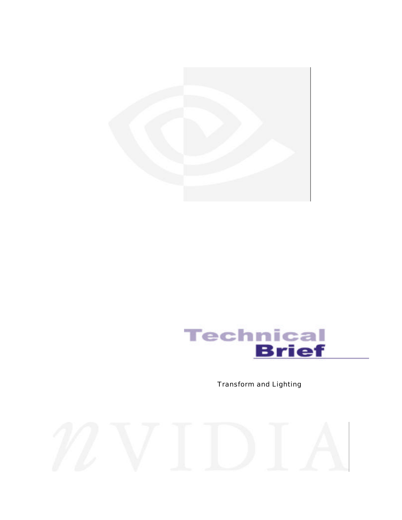



Transform and Lighting

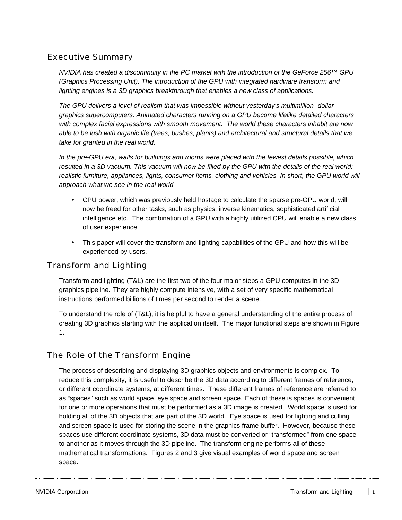#### Executive Summary

*NVIDIA has created a discontinuity in the PC market with the introduction of the GeForce 256™ GPU (Graphics Processing Unit). The introduction of the GPU with integrated hardware transform and lighting engines is a 3D graphics breakthrough that enables a new class of applications.*

*The GPU delivers a level of realism that was impossible without yesterday's multimillion -dollar graphics supercomputers. Animated characters running on a GPU become lifelike detailed characters with complex facial expressions with smooth movement. The world these characters inhabit are now able to be lush with organic life (trees, bushes, plants) and architectural and structural details that we take for granted in the real world.*

*In the pre-GPU era, walls for buildings and rooms were placed with the fewest details possible, which resulted in a 3D vacuum. This vacuum will now be filled by the GPU with the details of the real world:* realistic furniture, appliances, lights, consumer items, clothing and vehicles. In short, the GPU world will *approach what we see in the real world*

- CPU power, which was previously held hostage to calculate the sparse pre-GPU world, will now be freed for other tasks, such as physics, inverse kinematics, sophisticated artificial intelligence etc. The combination of a GPU with a highly utilized CPU will enable a new class of user experience.
- This paper will cover the transform and lighting capabilities of the GPU and how this will be experienced by users.

#### Transform and Lighting

Transform and lighting (T&L) are the first two of the four major steps a GPU computes in the 3D graphics pipeline. They are highly compute intensive, with a set of very specific mathematical instructions performed billions of times per second to render a scene.

To understand the role of (T&L), it is helpful to have a general understanding of the entire process of creating 3D graphics starting with the application itself. The major functional steps are shown in Figure 1.

#### The Role of the Transform Engine

The process of describing and displaying 3D graphics objects and environments is complex. To reduce this complexity, it is useful to describe the 3D data according to different frames of reference, or different coordinate systems, at different times. These different frames of reference are referred to as "spaces" such as world space, eye space and screen space. Each of these is spaces is convenient for one or more operations that must be performed as a 3D image is created. World space is used for holding all of the 3D objects that are part of the 3D world. Eye space is used for lighting and culling and screen space is used for storing the scene in the graphics frame buffer. However, because these spaces use different coordinate systems, 3D data must be converted or "transformed" from one space to another as it moves through the 3D pipeline. The transform engine performs all of these mathematical transformations. Figures 2 and 3 give visual examples of world space and screen space.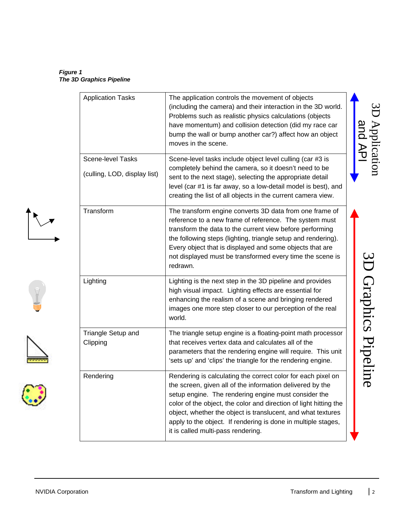*Figure 1 The 3D Graphics Pipeline*

| <b>Application Tasks</b>                                 | The application controls the movement of objects<br>(including the camera) and their interaction in the 3D world.<br>Problems such as realistic physics calculations (objects<br>have momentum) and collision detection (did my race car<br>bump the wall or bump another car?) affect how an object<br>moves in the scene.                                                                                                   | Application<br>and API |
|----------------------------------------------------------|-------------------------------------------------------------------------------------------------------------------------------------------------------------------------------------------------------------------------------------------------------------------------------------------------------------------------------------------------------------------------------------------------------------------------------|------------------------|
| <b>Scene-level Tasks</b><br>(culling, LOD, display list) | Scene-level tasks include object level culling (car #3 is<br>completely behind the camera, so it doesn't need to be<br>sent to the next stage), selecting the appropriate detail                                                                                                                                                                                                                                              |                        |
|                                                          | level (car #1 is far away, so a low-detail model is best), and<br>creating the list of all objects in the current camera view.                                                                                                                                                                                                                                                                                                |                        |
| Transform                                                | The transform engine converts 3D data from one frame of<br>reference to a new frame of reference. The system must<br>transform the data to the current view before performing<br>the following steps (lighting, triangle setup and rendering).<br>Every object that is displayed and some objects that are<br>not displayed must be transformed every time the scene is<br>redrawn.                                           |                        |
| Lighting                                                 | Lighting is the next step in the 3D pipeline and provides<br>high visual impact. Lighting effects are essential for<br>enhancing the realism of a scene and bringing rendered<br>images one more step closer to our perception of the real<br>world.                                                                                                                                                                          | D Graphics Pipelin     |
| Triangle Setup and<br>Clipping                           | The triangle setup engine is a floating-point math processor<br>that receives vertex data and calculates all of the<br>parameters that the rendering engine will require. This unit<br>'sets up' and 'clips' the triangle for the rendering engine.                                                                                                                                                                           |                        |
| Rendering                                                | Rendering is calculating the correct color for each pixel on<br>the screen, given all of the information delivered by the<br>setup engine. The rendering engine must consider the<br>color of the object, the color and direction of light hitting the<br>object, whether the object is translucent, and what textures<br>apply to the object. If rendering is done in multiple stages,<br>it is called multi-pass rendering. | (D                     |

 $\frac{1}{\sqrt{2}}$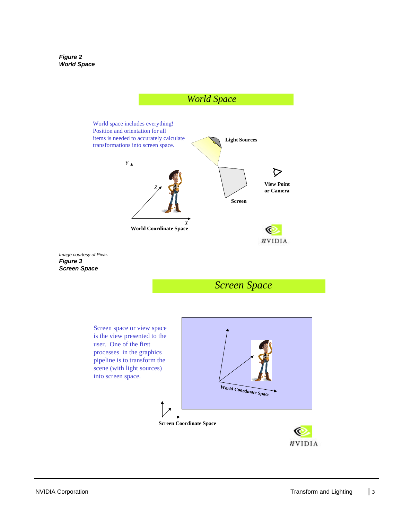*Figure 2 World Space*



 $n$ VIDIA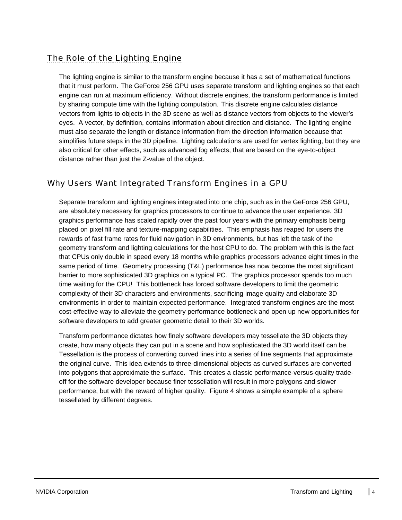### The Role of the Lighting Engine

The lighting engine is similar to the transform engine because it has a set of mathematical functions that it must perform. The GeForce 256 GPU uses separate transform and lighting engines so that each engine can run at maximum efficiency. Without discrete engines, the transform performance is limited by sharing compute time with the lighting computation. This discrete engine calculates distance vectors from lights to objects in the 3D scene as well as distance vectors from objects to the viewer's eyes. A vector, by definition, contains information about direction and distance. The lighting engine must also separate the length or distance information from the direction information because that simplifies future steps in the 3D pipeline. Lighting calculations are used for vertex lighting, but they are also critical for other effects, such as advanced fog effects, that are based on the eye-to-object distance rather than just the Z-value of the object.

#### Why Users Want Integrated Transform Engines in a GPU

Separate transform and lighting engines integrated into one chip, such as in the GeForce 256 GPU, are absolutely necessary for graphics processors to continue to advance the user experience. 3D graphics performance has scaled rapidly over the past four years with the primary emphasis being placed on pixel fill rate and texture-mapping capabilities. This emphasis has reaped for users the rewards of fast frame rates for fluid navigation in 3D environments, but has left the task of the geometry transform and lighting calculations for the host CPU to do. The problem with this is the fact that CPUs only double in speed every 18 months while graphics processors advance eight times in the same period of time. Geometry processing (T&L) performance has now become the most significant barrier to more sophisticated 3D graphics on a typical PC. The graphics processor spends too much time waiting for the CPU! This bottleneck has forced software developers to limit the geometric complexity of their 3D characters and environments, sacrificing image quality and elaborate 3D environments in order to maintain expected performance. Integrated transform engines are the most cost-effective way to alleviate the geometry performance bottleneck and open up new opportunities for software developers to add greater geometric detail to their 3D worlds.

Transform performance dictates how finely software developers may tessellate the 3D objects they create, how many objects they can put in a scene and how sophisticated the 3D world itself can be. Tessellation is the process of converting curved lines into a series of line segments that approximate the original curve. This idea extends to three-dimensional objects as curved surfaces are converted into polygons that approximate the surface. This creates a classic performance-versus-quality tradeoff for the software developer because finer tessellation will result in more polygons and slower performance, but with the reward of higher quality. Figure 4 shows a simple example of a sphere tessellated by different degrees.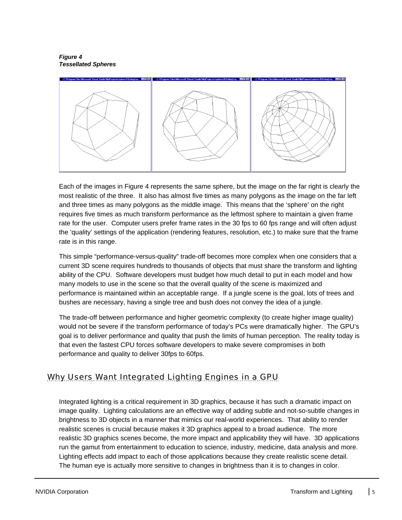*Figure 4 Tessellated Spheres*



Each of the images in Figure 4 represents the same sphere, but the image on the far right is clearly the most realistic of the three. It also has almost five times as many polygons as the image on the far left and three times as many polygons as the middle image. This means that the 'sphere' on the right requires five times as much transform performance as the leftmost sphere to maintain a given frame rate for the user. Computer users prefer frame rates in the 30 fps to 60 fps range and will often adjust the 'quality' settings of the application (rendering features, resolution, etc.) to make sure that the frame rate is in this range.

This simple "performance-versus-quality" trade-off becomes more complex when one considers that a current 3D scene requires hundreds to thousands of objects that must share the transform and lighting ability of the CPU. Software developers must budget how much detail to put in each model and how many models to use in the scene so that the overall quality of the scene is maximized and performance is maintained within an acceptable range. If a jungle scene is the goal, lots of trees and bushes are necessary, having a single tree and bush does not convey the idea of a jungle.

The trade-off between performance and higher geometric complexity (to create higher image quality) would not be severe if the transform performance of today's PCs were dramatically higher. The GPU's goal is to deliver performance and quality that push the limits of human perception. The reality today is that even the fastest CPU forces software developers to make severe compromises in both performance and quality to deliver 30fps to 60fps.

#### Why Users Want Integrated Lighting Engines in a GPU

Integrated lighting is a critical requirement in 3D graphics, because it has such a dramatic impact on image quality. Lighting calculations are an effective way of adding subtle and not-so-subtle changes in brightness to 3D objects in a manner that mimics our real-world experiences. That ability to render realistic scenes is crucial because makes it 3D graphics appeal to a broad audience. The more realistic 3D graphics scenes become, the more impact and applicability they will have. 3D applications run the gamut from entertainment to education to science, industry, medicine, data analysis and more. Lighting effects add impact to each of those applications because they create realistic scene detail. The human eye is actually more sensitive to changes in brightness than it is to changes in color.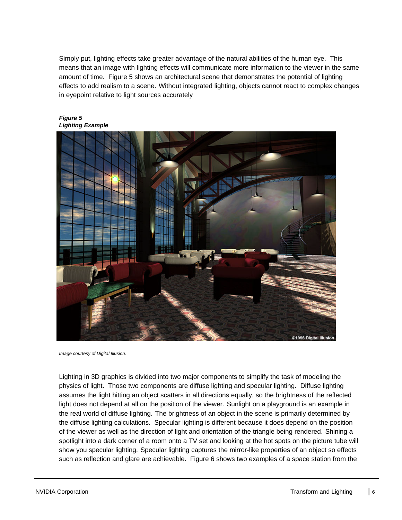Simply put, lighting effects take greater advantage of the natural abilities of the human eye. This means that an image with lighting effects will communicate more information to the viewer in the same amount of time. Figure 5 shows an architectural scene that demonstrates the potential of lighting effects to add realism to a scene. Without integrated lighting, objects cannot react to complex changes in eyepoint relative to light sources accurately



*Figure 5 Lighting Example*

*Image courtesy of Digital Illusion.*

Lighting in 3D graphics is divided into two major components to simplify the task of modeling the physics of light. Those two components are diffuse lighting and specular lighting. Diffuse lighting assumes the light hitting an object scatters in all directions equally, so the brightness of the reflected light does not depend at all on the position of the viewer. Sunlight on a playground is an example in the real world of diffuse lighting. The brightness of an object in the scene is primarily determined by the diffuse lighting calculations. Specular lighting is different because it does depend on the position of the viewer as well as the direction of light and orientation of the triangle being rendered. Shining a spotlight into a dark corner of a room onto a TV set and looking at the hot spots on the picture tube will show you specular lighting. Specular lighting captures the mirror-like properties of an object so effects such as reflection and glare are achievable. Figure 6 shows two examples of a space station from the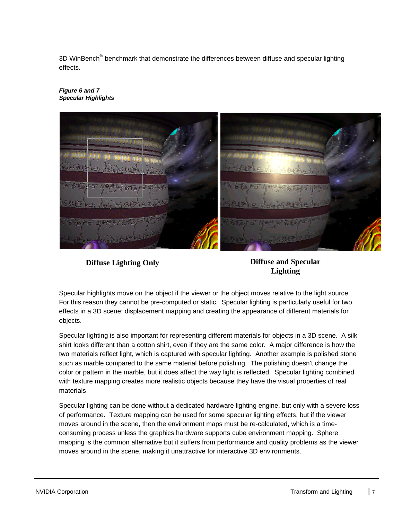3D WinBench® benchmark that demonstrate the differences between diffuse and specular lighting effects.



#### *Figure 6 and 7 Specular Highlights*

**Diffuse Lighting Only Diffuse and Specular**

**Lighting**

Specular highlights move on the object if the viewer or the object moves relative to the light source. For this reason they cannot be pre-computed or static. Specular lighting is particularly useful for two effects in a 3D scene: displacement mapping and creating the appearance of different materials for objects.

Specular lighting is also important for representing different materials for objects in a 3D scene. A silk shirt looks different than a cotton shirt, even if they are the same color. A major difference is how the two materials reflect light, which is captured with specular lighting. Another example is polished stone such as marble compared to the same material before polishing. The polishing doesn't change the color or pattern in the marble, but it does affect the way light is reflected. Specular lighting combined with texture mapping creates more realistic objects because they have the visual properties of real materials.

Specular lighting can be done without a dedicated hardware lighting engine, but only with a severe loss of performance. Texture mapping can be used for some specular lighting effects, but if the viewer moves around in the scene, then the environment maps must be re-calculated, which is a timeconsuming process unless the graphics hardware supports cube environment mapping. Sphere mapping is the common alternative but it suffers from performance and quality problems as the viewer moves around in the scene, making it unattractive for interactive 3D environments.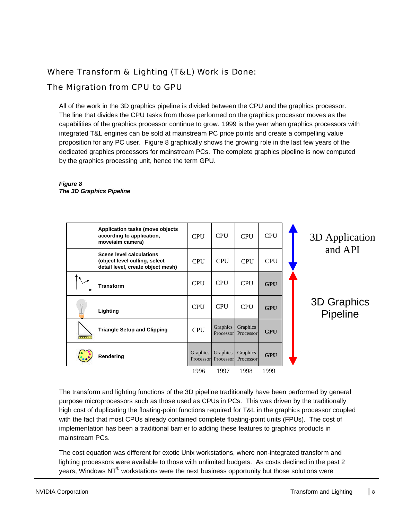# Where Transform & Lighting (T&L) Work is Done:

#### The Migration from CPU to GPU

All of the work in the 3D graphics pipeline is divided between the CPU and the graphics processor. The line that divides the CPU tasks from those performed on the graphics processor moves as the capabilities of the graphics processor continue to grow. 1999 is the year when graphics processors with integrated T&L engines can be sold at mainstream PC price points and create a compelling value proposition for any PC user. Figure 8 graphically shows the growing role in the last few years of the dedicated graphics processors for mainstream PCs. The complete graphics pipeline is now computed by the graphics processing unit, hence the term GPU.

#### **Application tasks (move objects according to application, move/aim camera) Scene level calculations (object level culling, select detail level, create object mesh) Transform Lighting Triangle Setup and Clipping Rendering CPU CPU** CPU CPU CPU CPU CPU CPU CPU CPU CPU CPU CPU CPU CPU 1996 1997 1998 1999 Graphics Processor Graphics Processor Graphics Processor **Graphics Processor** Graphics Processor **GPU GPU GPU GPU** 3D Application and API 3D Graphics Pipeline

#### *Figure 8 The 3D Graphics Pipeline*

The transform and lighting functions of the 3D pipeline traditionally have been performed by general purpose microprocessors such as those used as CPUs in PCs. This was driven by the traditionally high cost of duplicating the floating-point functions required for T&L in the graphics processor coupled with the fact that most CPUs already contained complete floating-point units (FPUs). The cost of implementation has been a traditional barrier to adding these features to graphics products in mainstream PCs.

The cost equation was different for exotic Unix workstations, where non-integrated transform and lighting processors were available to those with unlimited budgets. As costs declined in the past 2 years, Windows NT $^{\circ}$  workstations were the next business opportunity but those solutions were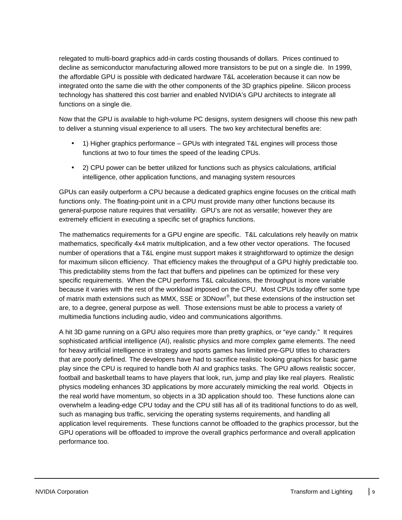relegated to multi-board graphics add-in cards costing thousands of dollars. Prices continued to decline as semiconductor manufacturing allowed more transistors to be put on a single die. In 1999, the affordable GPU is possible with dedicated hardware T&L acceleration because it can now be integrated onto the same die with the other components of the 3D graphics pipeline. Silicon process technology has shattered this cost barrier and enabled NVIDIA's GPU architects to integrate all functions on a single die.

Now that the GPU is available to high-volume PC designs, system designers will choose this new path to deliver a stunning visual experience to all users. The two key architectural benefits are:

- 1) Higher graphics performance GPUs with integrated T&L engines will process those functions at two to four times the speed of the leading CPUs.
- 2) CPU power can be better utilized for functions such as physics calculations, artificial intelligence, other application functions, and managing system resources

GPUs can easily outperform a CPU because a dedicated graphics engine focuses on the critical math functions only. The floating-point unit in a CPU must provide many other functions because its general-purpose nature requires that versatility. GPU's are not as versatile; however they are extremely efficient in executing a specific set of graphics functions.

The mathematics requirements for a GPU engine are specific. T&L calculations rely heavily on matrix mathematics, specifically 4x4 matrix multiplication, and a few other vector operations. The focused number of operations that a T&L engine must support makes it straightforward to optimize the design for maximum silicon efficiency. That efficiency makes the throughput of a GPU highly predictable too. This predictability stems from the fact that buffers and pipelines can be optimized for these very specific requirements. When the CPU performs T&L calculations, the throughput is more variable because it varies with the rest of the workload imposed on the CPU. Most CPUs today offer some type of matrix math extensions such as MMX, SSE or 3DNow!®, but these extensions of the instruction set are, to a degree, general purpose as well. Those extensions must be able to process a variety of multimedia functions including audio, video and communications algorithms.

A hit 3D game running on a GPU also requires more than pretty graphics, or "eye candy." It requires sophisticated artificial intelligence (AI), realistic physics and more complex game elements. The need for heavy artificial intelligence in strategy and sports games has limited pre-GPU titles to characters that are poorly defined. The developers have had to sacrifice realistic looking graphics for basic game play since the CPU is required to handle both AI and graphics tasks. The GPU allows realistic soccer, football and basketball teams to have players that look, run, jump and play like real players. Realistic physics modeling enhances 3D applications by more accurately mimicking the real world. Objects in the real world have momentum, so objects in a 3D application should too. These functions alone can overwhelm a leading-edge CPU today and the CPU still has all of its traditional functions to do as well, such as managing bus traffic, servicing the operating systems requirements, and handling all application level requirements. These functions cannot be offloaded to the graphics processor, but the GPU operations will be offloaded to improve the overall graphics performance and overall application performance too.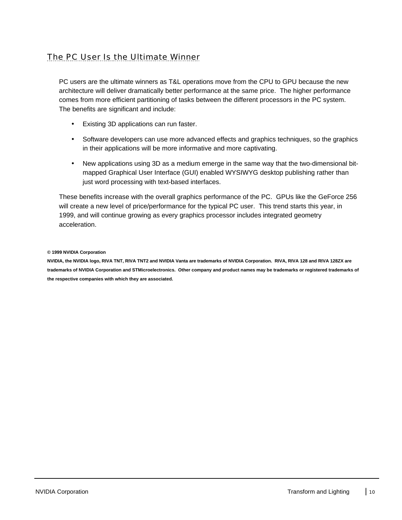# The PC User Is the Ultimate Winner

PC users are the ultimate winners as T&L operations move from the CPU to GPU because the new architecture will deliver dramatically better performance at the same price. The higher performance comes from more efficient partitioning of tasks between the different processors in the PC system. The benefits are significant and include:

- Existing 3D applications can run faster.
- Software developers can use more advanced effects and graphics techniques, so the graphics in their applications will be more informative and more captivating.
- New applications using 3D as a medium emerge in the same way that the two-dimensional bitmapped Graphical User Interface (GUI) enabled WYSIWYG desktop publishing rather than just word processing with text-based interfaces.

These benefits increase with the overall graphics performance of the PC. GPUs like the GeForce 256 will create a new level of price/performance for the typical PC user. This trend starts this year, in 1999, and will continue growing as every graphics processor includes integrated geometry acceleration.

**© 1999 NVIDIA Corporation**

**NVIDIA, the NVIDIA logo, RIVA TNT, RIVA TNT2 and NVIDIA Vanta are trademarks of NVIDIA Corporation. RIVA, RIVA 128 and RIVA 128ZX are trademarks of NVIDIA Corporation and STMicroelectronics. Other company and product names may be trademarks or registered trademarks of the respective companies with which they are associated.**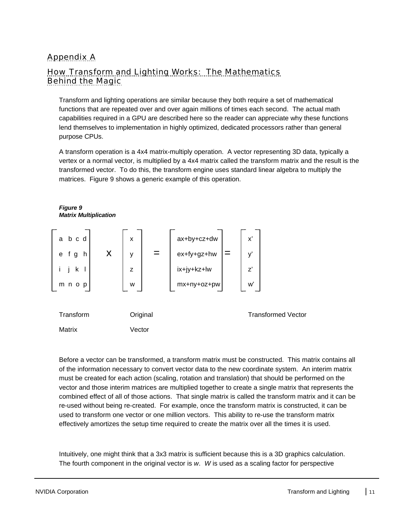# Appendix A

#### How Transform and Lighting Works: The Mathematics Behind the Magic

Transform and lighting operations are similar because they both require a set of mathematical functions that are repeated over and over again millions of times each second. The actual math capabilities required in a GPU are described here so the reader can appreciate why these functions lend themselves to implementation in highly optimized, dedicated processors rather than general purpose CPUs.

A transform operation is a 4x4 matrix-multiply operation. A vector representing 3D data, typically a vertex or a normal vector, is multiplied by a 4x4 matrix called the transform matrix and the result is the transformed vector. To do this, the transform engine uses standard linear algebra to multiply the matrices. Figure 9 shows a generic example of this operation.



Before a vector can be transformed, a transform matrix must be constructed. This matrix contains all of the information necessary to convert vector data to the new coordinate system. An interim matrix must be created for each action (scaling, rotation and translation) that should be performed on the vector and those interim matrices are multiplied together to create a single matrix that represents the combined effect of all of those actions. That single matrix is called the transform matrix and it can be re-used without being re-created. For example, once the transform matrix is constructed, it can be used to transform one vector or one million vectors. This ability to re-use the transform matrix effectively amortizes the setup time required to create the matrix over all the times it is used.

Intuitively, one might think that a 3x3 matrix is sufficient because this is a 3D graphics calculation. The fourth component in the original vector is *w*. *W* is used as a scaling factor for perspective